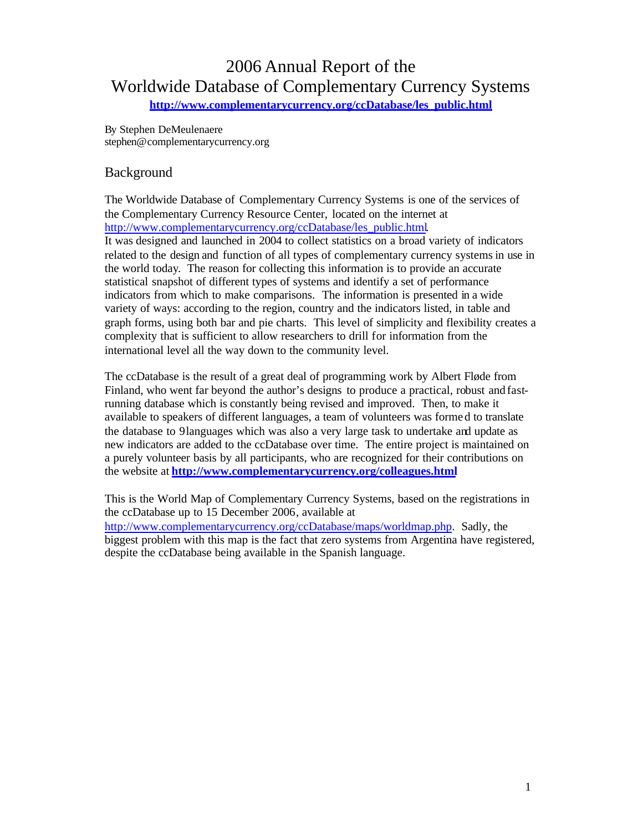# 2006 Annual Report of the Worldwide Database of Complementary Currency Systems

**http://www.complementarycurrency.org/ccDatabase/les\_public.html**

By Stephen DeMeulenaere stephen@complementarycurrency.org

### Background

The Worldwide Database of Complementary Currency Systems is one of the services of the Complementary Currency Resource Center, located on the internet at http://www.complementarycurrency.org/ccDatabase/les\_public.html. It was designed and launched in 2004 to collect statistics on a broad variety of indicators related to the design and function of all types of complementary currency systems in use in the world today. The reason for collecting this information is to provide an accurate statistical snapshot of different types of systems and identify a set of performance indicators from which to make comparisons. The information is presented in a wide variety of ways: according to the region, country and the indicators listed, in table and graph forms, using both bar and pie charts. This level of simplicity and flexibility creates a complexity that is sufficient to allow researchers to drill for information from the international level all the way down to the community level.

The ccDatabase is the result of a great deal of programming work by Albert Fløde from Finland, who went far beyond the author's designs to produce a practical, robust and fastrunning database which is constantly being revised and improved. Then, to make it available to speakers of different languages, a team of volunteers was forme d to translate the database to 9 languages which was also a very large task to undertake and update as new indicators are added to the ccDatabase over time. The entire project is maintained on a purely volunteer basis by all participants, who are recognized for their contributions on the website at **http://www.complementarycurrency.org/colleagues.html**

This is the World Map of Complementary Currency Systems, based on the registrations in the ccDatabase up to 15 December 2006, available at http://www.complementarycurrency.org/ccDatabase/maps/worldmap.php. Sadly, the biggest problem with this map is the fact that zero systems from Argentina have registered, despite the ccDatabase being available in the Spanish language.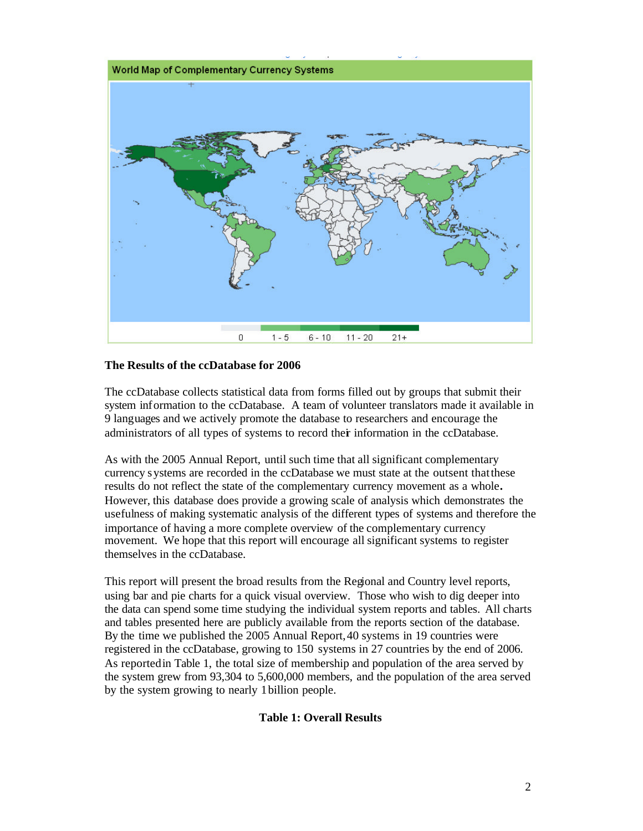

#### **The Results of the ccDatabase for 2006**

The ccDatabase collects statistical data from forms filled out by groups that submit their system information to the ccDatabase. A team of volunteer translators made it available in 9 languages and we actively promote the database to researchers and encourage the administrators of all types of systems to record their information in the ccDatabase.

As with the 2005 Annual Report, until such time that all significant complementary currency systems are recorded in the ccDatabase we must state at the outsent that these results do not reflect the state of the complementary currency movement as a whole**.**  However, this database does provide a growing scale of analysis which demonstrates the usefulness of making systematic analysis of the different types of systems and therefore the importance of having a more complete overview of the complementary currency movement. We hope that this report will encourage all significant systems to register themselves in the ccDatabase.

This report will present the broad results from the Regional and Country level reports, using bar and pie charts for a quick visual overview. Those who wish to dig deeper into the data can spend some time studying the individual system reports and tables. All charts and tables presented here are publicly available from the reports section of the database. By the time we published the 2005 Annual Report, 40 systems in 19 countries were registered in the ccDatabase, growing to 150 systems in 27 countries by the end of 2006. As reported in Table 1, the total size of membership and population of the area served by the system grew from 93,304 to 5,600,000 members, and the population of the area served by the system growing to nearly 1 billion people.

#### **Table 1: Overall Results**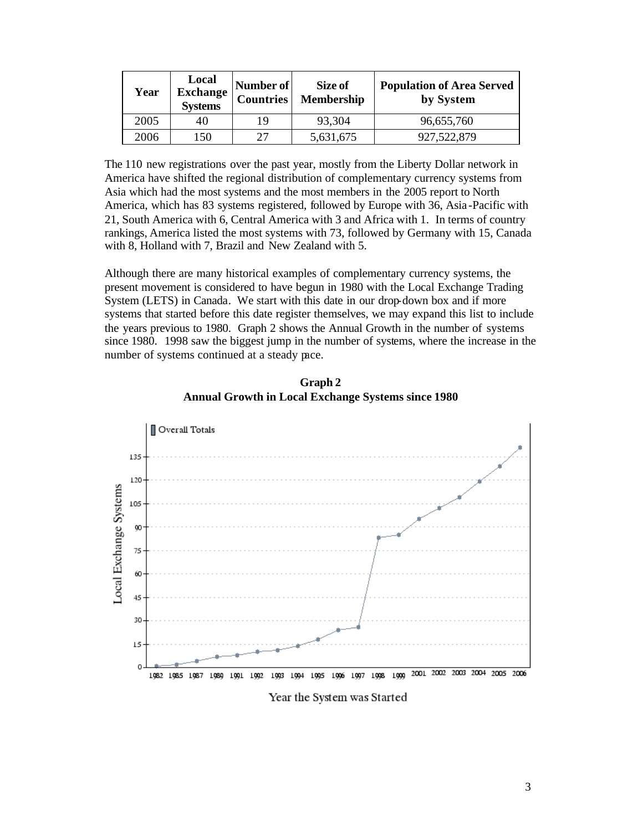| Year | Local<br><b>Exchange</b><br><b>Systems</b> | Number of<br><b>Countries</b> | Size of<br>Membership | <b>Population of Area Served</b><br>by System |
|------|--------------------------------------------|-------------------------------|-----------------------|-----------------------------------------------|
| 2005 | 40                                         | 19                            | 93,304                | 96,655,760                                    |
| 2006 | 150                                        | 27                            | 5,631,675             | 927,522,879                                   |

The 110 new registrations over the past year, mostly from the Liberty Dollar network in America have shifted the regional distribution of complementary currency systems from Asia which had the most systems and the most members in the 2005 report to North America, which has 83 systems registered, followed by Europe with 36, Asia -Pacific with 21, South America with 6, Central America with 3 and Africa with 1. In terms of country rankings, America listed the most systems with 73, followed by Germany with 15, Canada with 8, Holland with 7, Brazil and New Zealand with 5.

Although there are many historical examples of complementary currency systems, the present movement is considered to have begun in 1980 with the Local Exchange Trading System (LETS) in Canada. We start with this date in our drop-down box and if more systems that started before this date register themselves, we may expand this list to include the years previous to 1980. Graph 2 shows the Annual Growth in the number of systems since 1980. 1998 saw the biggest jump in the number of systems, where the increase in the number of systems continued at a steady pace.

**Graph 2 Annual Growth in Local Exchange Systems since 1980**

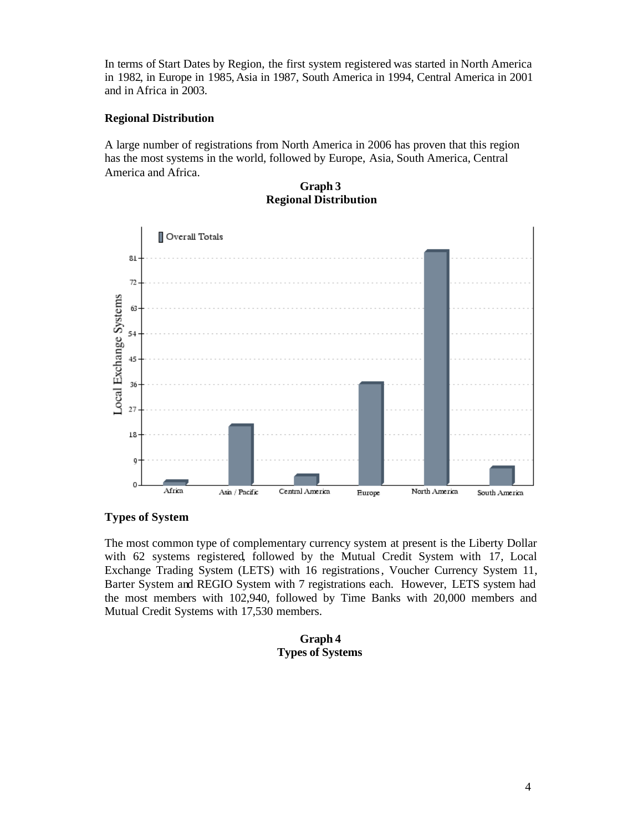In terms of Start Dates by Region, the first system registered was started in North America in 1982, in Europe in 1985, Asia in 1987, South America in 1994, Central America in 2001 and in Africa in 2003.

#### **Regional Distribution**

A large number of registrations from North America in 2006 has proven that this region has the most systems in the world, followed by Europe, Asia, South America, Central America and Africa.

Overall Totals 81  $72$ Local Exchange Systems 63 54 45 36 27 18 Q  $\Omega$ Africa Asia / Pacific Central America Europe North America South America

#### **Graph 3 Regional Distribution**

#### **Types of System**

The most common type of complementary currency system at present is the Liberty Dollar with 62 systems registered, followed by the Mutual Credit System with 17, Local Exchange Trading System (LETS) with 16 registrations, Voucher Currency System 11, Barter System and REGIO System with 7 registrations each. However, LETS system had the most members with 102,940, followed by Time Banks with 20,000 members and Mutual Credit Systems with 17,530 members.

#### **Graph 4 Types of Systems**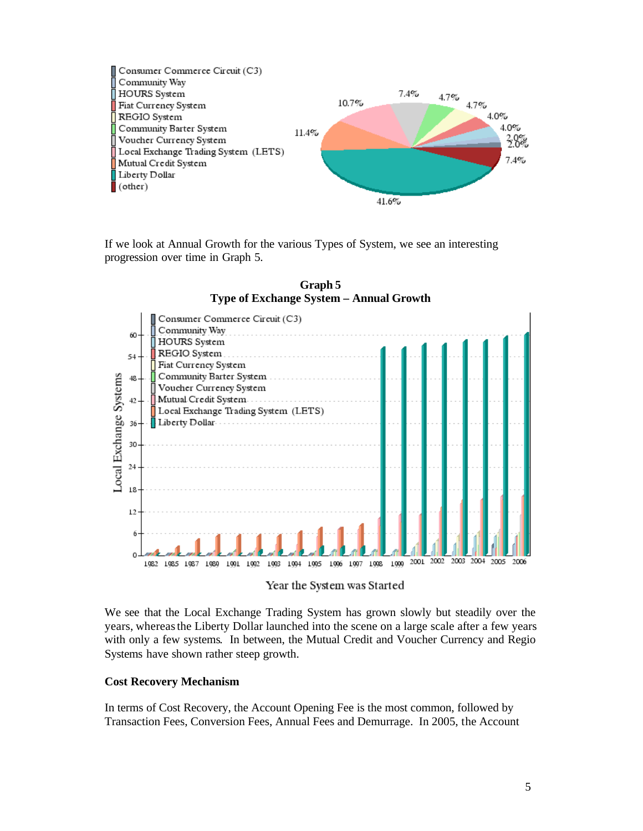

If we look at Annual Growth for the various Types of System, we see an interesting progression over time in Graph 5.



**Graph 5 Type of Exchange System – Annual Growth**

Year the System was Started

We see that the Local Exchange Trading System has grown slowly but steadily over the years, whereas the Liberty Dollar launched into the scene on a large scale after a few years with only a few systems. In between, the Mutual Credit and Voucher Currency and Regio Systems have shown rather steep growth.

#### **Cost Recovery Mechanism**

In terms of Cost Recovery, the Account Opening Fee is the most common, followed by Transaction Fees, Conversion Fees, Annual Fees and Demurrage. In 2005, the Account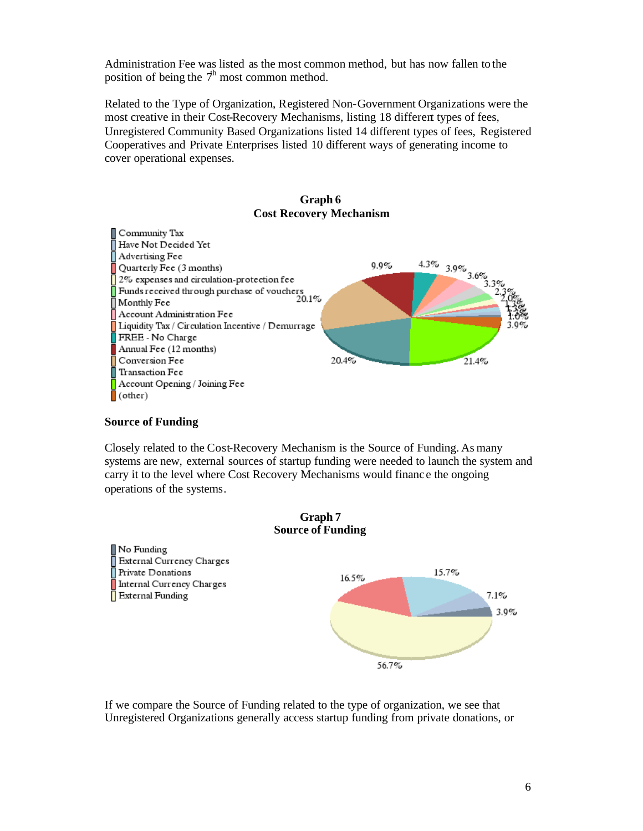Administration Fee was listed as the most common method, but has now fallen to the position of being the  $\mathcal{T}^h$  most common method.

Related to the Type of Organization, Registered Non-Government Organizations were the most creative in their Cost-Recovery Mechanisms, listing 18 different types of fees, Unregistered Community Based Organizations listed 14 different types of fees, Registered Cooperatives and Private Enterprises listed 10 different ways of generating income to cover operational expenses.

#### **Graph 6 Cost Recovery Mechanism**



#### **Source of Funding**

Closely related to the Cost-Recovery Mechanism is the Source of Funding. As many systems are new, external sources of startup funding were needed to launch the system and carry it to the level where Cost Recovery Mechanisms would financ e the ongoing operations of the systems.



If we compare the Source of Funding related to the type of organization, we see that Unregistered Organizations generally access startup funding from private donations, or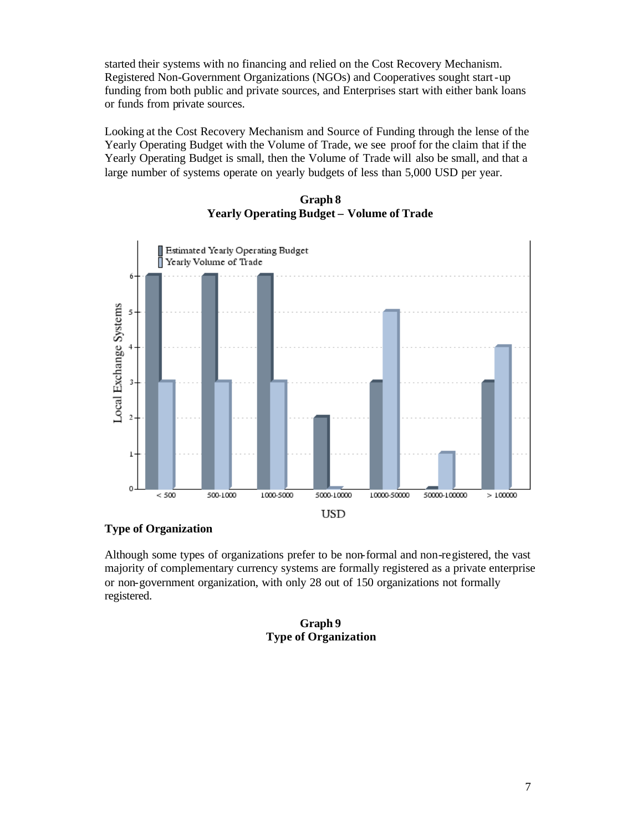started their systems with no financing and relied on the Cost Recovery Mechanism. Registered Non-Government Organizations (NGOs) and Cooperatives sought start-up funding from both public and private sources, and Enterprises start with either bank loans or funds from private sources.

Looking at the Cost Recovery Mechanism and Source of Funding through the lense of the Yearly Operating Budget with the Volume of Trade, we see proof for the claim that if the Yearly Operating Budget is small, then the Volume of Trade will also be small, and that a large number of systems operate on yearly budgets of less than 5,000 USD per year.



**Graph 8 Yearly Operating Budget – Volume of Trade**

#### **Type of Organization**

Although some types of organizations prefer to be non-formal and non-registered, the vast majority of complementary currency systems are formally registered as a private enterprise or non-government organization, with only 28 out of 150 organizations not formally registered.

> **Graph 9 Type of Organization**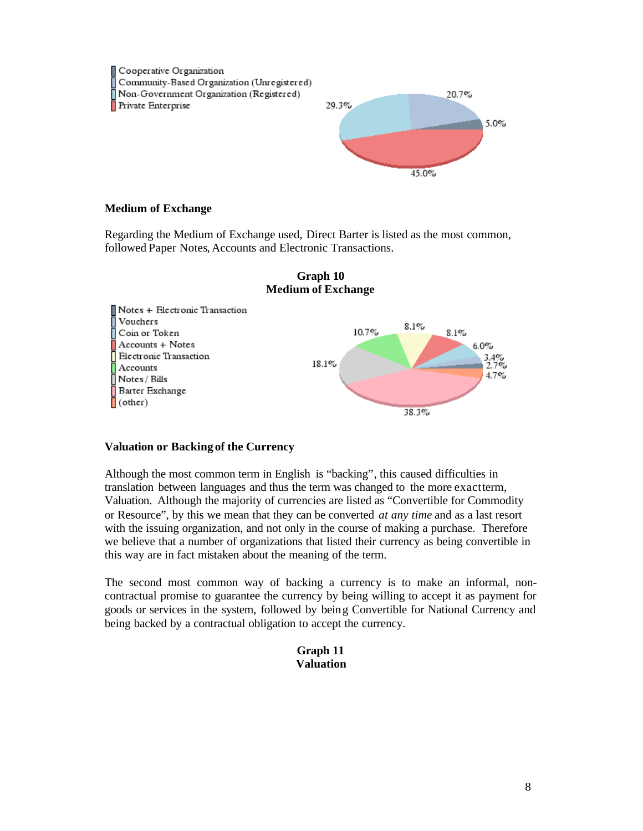

#### **Medium of Exchange**

Regarding the Medium of Exchange used, Direct Barter is listed as the most common, followed Paper Notes, Accounts and Electronic Transactions.





#### **Valuation or Backing of the Currency**

Although the most common term in English is "backing", this caused difficulties in translation between languages and thus the term was changed to the more exact term, Valuation. Although the majority of currencies are listed as "Convertible for Commodity or Resource", by this we mean that they can be converted *at any time* and as a last resort with the issuing organization, and not only in the course of making a purchase. Therefore we believe that a number of organizations that listed their currency as being convertible in this way are in fact mistaken about the meaning of the term.

The second most common way of backing a currency is to make an informal, noncontractual promise to guarantee the currency by being willing to accept it as payment for goods or services in the system, followed by being Convertible for National Currency and being backed by a contractual obligation to accept the currency.

#### **Graph 11 Valuation**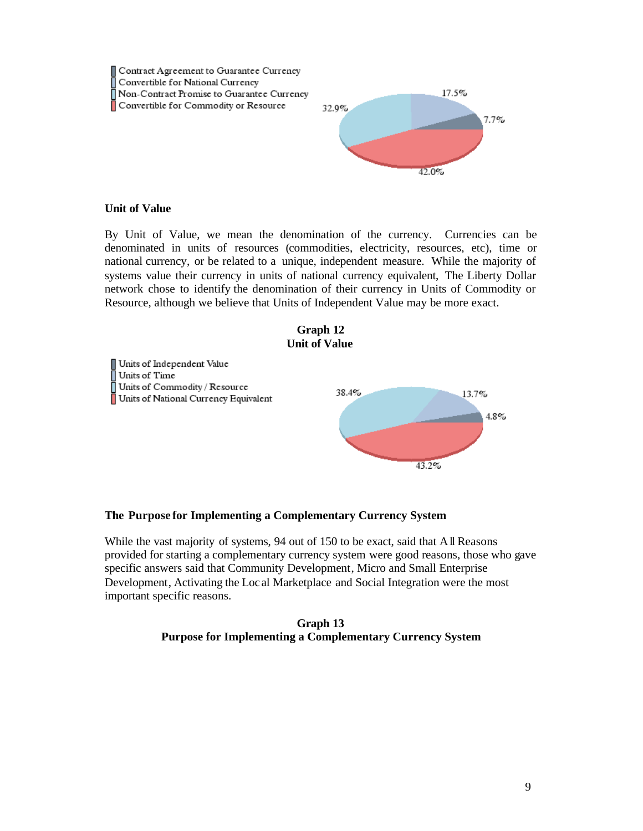

#### **Unit of Value**

By Unit of Value, we mean the denomination of the currency. Currencies can be denominated in units of resources (commodities, electricity, resources, etc), time or national currency, or be related to a unique, independent measure. While the majority of systems value their currency in units of national currency equivalent, The Liberty Dollar network chose to identify the denomination of their currency in Units of Commodity or Resource, although we believe that Units of Independent Value may be more exact.



Units of Independent Value Units of Time  $\overline{\parallel}$  Units of Commodity / Resource 38.4% Units of National Currency Equivalent

#### **The Purpose for Implementing a Complementary Currency System**

While the vast majority of systems, 94 out of 150 to be exact, said that All Reasons provided for starting a complementary currency system were good reasons, those who gave specific answers said that Community Development, Micro and Small Enterprise Development, Activating the Loc al Marketplace and Social Integration were the most important specific reasons.

#### **Graph 13 Purpose for Implementing a Complementary Currency System**

13.7%

 $43.2%$ 

 $4.8\%$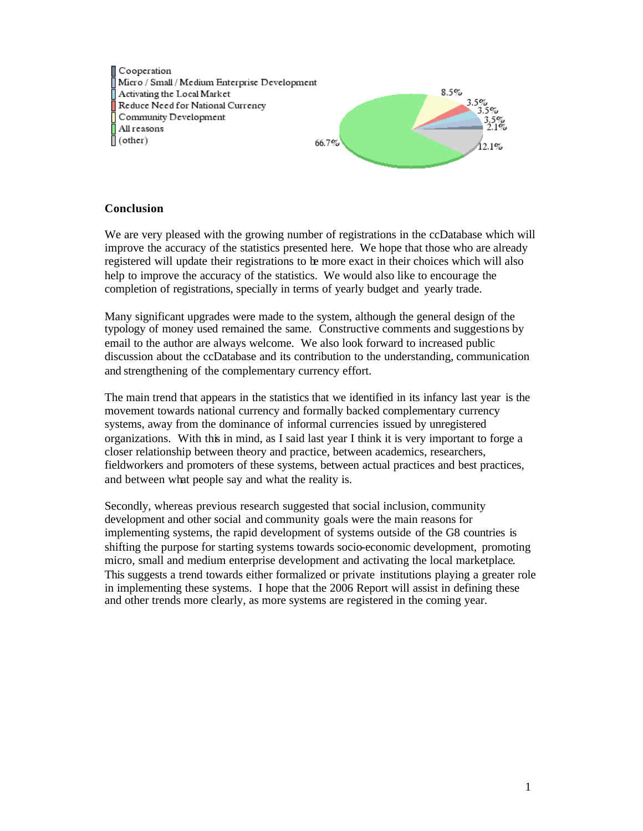Cooperation Micro / Small / Medium Enterprise Development Activating the Local Market Reduce Need for National Currency Community Development All reasons  $\overline{\parallel}$  (other)



#### **Conclusion**

We are very pleased with the growing number of registrations in the ccDatabase which will improve the accuracy of the statistics presented here. We hope that those who are already registered will update their registrations to be more exact in their choices which will also help to improve the accuracy of the statistics. We would also like to encourage the completion of registrations, specially in terms of yearly budget and yearly trade.

Many significant upgrades were made to the system, although the general design of the typology of money used remained the same. Constructive comments and suggestions by email to the author are always welcome. We also look forward to increased public discussion about the ccDatabase and its contribution to the understanding, communication and strengthening of the complementary currency effort.

The main trend that appears in the statistics that we identified in its infancy last year is the movement towards national currency and formally backed complementary currency systems, away from the dominance of informal currencies issued by unregistered organizations. With this in mind, as I said last year I think it is very important to forge a closer relationship between theory and practice, between academics, researchers, fieldworkers and promoters of these systems, between actual practices and best practices, and between what people say and what the reality is.

Secondly, whereas previous research suggested that social inclusion, community development and other social and community goals were the main reasons for implementing systems, the rapid development of systems outside of the G8 countries is shifting the purpose for starting systems towards socio-economic development, promoting micro, small and medium enterprise development and activating the local marketplace. This suggests a trend towards either formalized or private institutions playing a greater role in implementing these systems. I hope that the 2006 Report will assist in defining these and other trends more clearly, as more systems are registered in the coming year.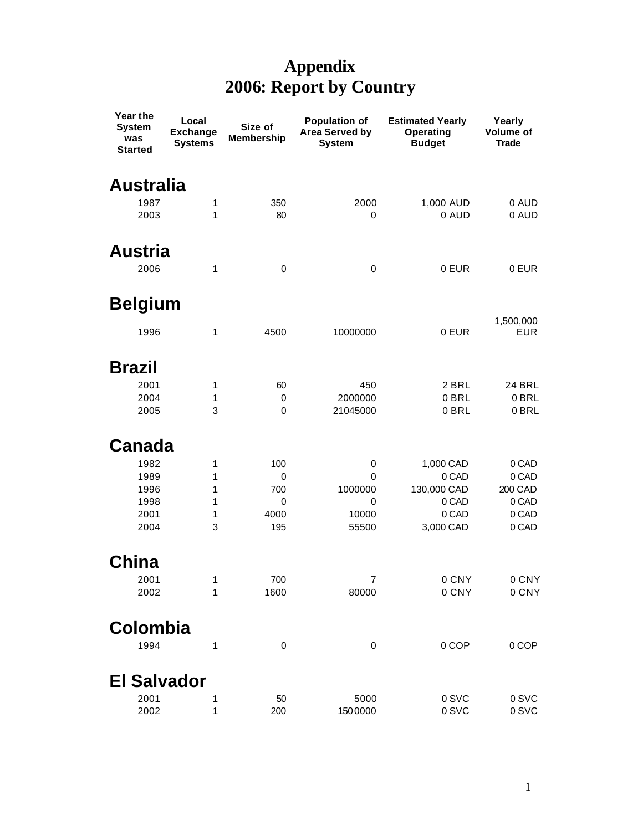## **Appendix 2006: Report by Country**

| Year the<br><b>System</b><br>was<br><b>Started</b> | Local<br><b>Exchange</b><br><b>Systems</b> | Size of<br><b>Membership</b> | Population of<br>Area Served by<br><b>System</b> | <b>Estimated Yearly</b><br>Operating<br><b>Budget</b> | Yearly<br>Volume of<br><b>Trade</b> |
|----------------------------------------------------|--------------------------------------------|------------------------------|--------------------------------------------------|-------------------------------------------------------|-------------------------------------|
| <b>Australia</b>                                   |                                            |                              |                                                  |                                                       |                                     |
| 1987                                               | 1                                          | 350                          | 2000                                             | 1,000 AUD                                             | 0 AUD                               |
| 2003                                               | 1                                          | 80                           | 0                                                | 0 AUD                                                 | 0 AUD                               |
| Austria                                            |                                            |                              |                                                  |                                                       |                                     |
| 2006                                               | 1                                          | $\pmb{0}$                    | 0                                                | 0 EUR                                                 | 0 EUR                               |
| <b>Belgium</b>                                     |                                            |                              |                                                  |                                                       |                                     |
| 1996                                               | 1                                          | 4500                         | 10000000                                         | 0 EUR                                                 | 1,500,000<br><b>EUR</b>             |
| <b>Brazil</b>                                      |                                            |                              |                                                  |                                                       |                                     |
| 2001                                               | 1                                          | 60                           | 450                                              | 2 BRL                                                 | <b>24 BRL</b>                       |
| 2004                                               | 1                                          | 0                            | 2000000                                          | 0 BRL                                                 | 0 BRL                               |
| 2005                                               | 3                                          | 0                            | 21045000                                         | 0 BRL                                                 | 0 BRL                               |
| <b>Canada</b>                                      |                                            |                              |                                                  |                                                       |                                     |
| 1982                                               | 1                                          | 100                          | 0                                                | 1,000 CAD                                             | 0 CAD                               |
| 1989                                               | 1                                          | 0                            | 0                                                | 0 CAD                                                 | 0 CAD                               |
| 1996                                               | 1                                          | 700                          | 1000000                                          | 130,000 CAD                                           | 200 CAD                             |
| 1998                                               | 1                                          | 0                            | 0                                                | 0 CAD                                                 | 0 CAD                               |
| 2001                                               | 1                                          | 4000                         | 10000                                            | 0 CAD                                                 | 0 CAD                               |
| 2004                                               | 3                                          | 195                          | 55500                                            | 3,000 CAD                                             | 0 CAD                               |
| China                                              |                                            |                              |                                                  |                                                       |                                     |
| 2001                                               | 1                                          | 700                          | 7                                                | 0 CNY                                                 | 0 CNY                               |
| 2002                                               | 1                                          | 1600                         | 80000                                            | 0 CNY                                                 | 0 CNY                               |
| Colombia                                           |                                            |                              |                                                  |                                                       |                                     |
| 1994                                               | 1                                          | $\pmb{0}$                    | 0                                                | 0 COP                                                 | 0 COP                               |
| <b>El Salvador</b>                                 |                                            |                              |                                                  |                                                       |                                     |
| 2001                                               | 1                                          | 50                           | 5000                                             | 0 SVC                                                 | 0 SVC                               |
| 2002                                               | 1                                          | 200                          | 1500000                                          | 0 SVC                                                 | 0 SVC                               |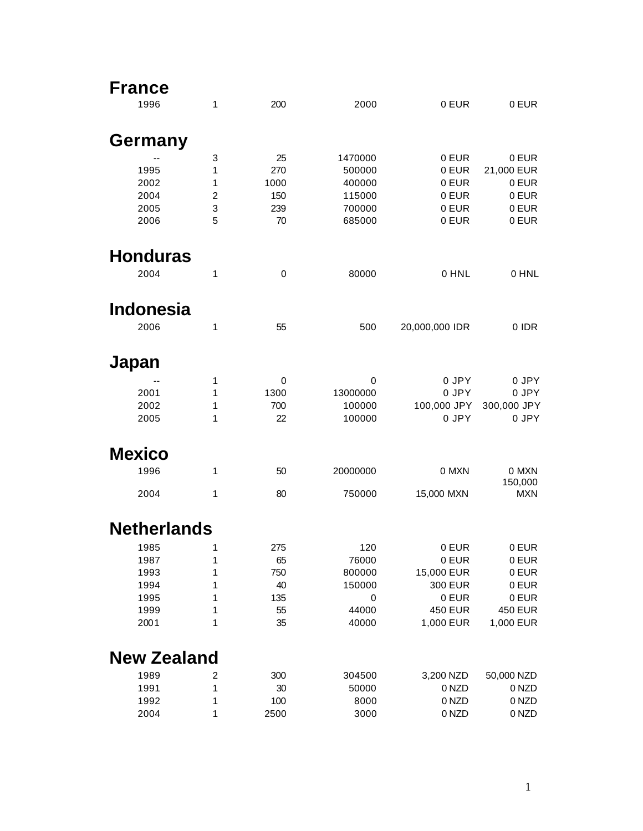| <b>France</b>      |                |      |          |                |                  |
|--------------------|----------------|------|----------|----------------|------------------|
| 1996               | 1              | 200  | 2000     | 0 EUR          | 0 EUR            |
| Germany            |                |      |          |                |                  |
|                    | 3              | 25   | 1470000  | 0 EUR          | 0 EUR            |
| 1995               | 1              | 270  | 500000   | 0 EUR          | 21,000 EUR       |
| 2002               | 1              | 1000 | 400000   | 0 EUR          | 0 EUR            |
| 2004               | $\overline{c}$ | 150  | 115000   | 0 EUR          | 0 EUR            |
| 2005               | 3              | 239  | 700000   | 0 EUR          | 0 EUR            |
| 2006               | 5              | 70   | 685000   | 0 EUR          | 0 EUR            |
| <b>Honduras</b>    |                |      |          |                |                  |
| 2004               | 1              | 0    | 80000    | 0 HNL          | 0 HNL            |
| <b>Indonesia</b>   |                |      |          |                |                  |
|                    |                |      |          |                |                  |
| 2006               | 1              | 55   | 500      | 20,000,000 IDR | 0 IDR            |
| Japan              |                |      |          |                |                  |
|                    | 1              | 0    | 0        | 0 JPY          | 0 JPY            |
| 2001               | 1              | 1300 | 13000000 | 0 JPY          | 0 JPY            |
| 2002               | 1              | 700  | 100000   | 100,000 JPY    | 300,000 JPY      |
| 2005               | 1              | 22   | 100000   | 0 JPY          | 0 JPY            |
| <b>Mexico</b>      |                |      |          |                |                  |
| 1996               | 1              | 50   | 20000000 | 0 MXN          | 0 MXN<br>150,000 |
| 2004               | 1              | 80   | 750000   | 15,000 MXN     | <b>MXN</b>       |
| <b>Netherlands</b> |                |      |          |                |                  |
| 1985               | $\mathbf{1}$   | 275  | 120      | 0 EUR          | 0 EUR            |
| 1987               | 1              | 65   | 76000    | 0 EUR          | 0 EUR            |
| 1993               | 1              | 750  | 800000   | 15,000 EUR     | 0 EUR            |
| 1994               | 1              | 40   | 150000   | 300 EUR        | 0 EUR            |
| 1995               | 1              | 135  | 0        | 0 EUR          | 0 EUR            |
| 1999               | 1              | 55   | 44000    | <b>450 EUR</b> | <b>450 EUR</b>   |
| 2001               | 1              | 35   | 40000    | 1,000 EUR      | 1,000 EUR        |
| <b>New Zealand</b> |                |      |          |                |                  |
| 1989               | 2              | 300  | 304500   | 3,200 NZD      | 50,000 NZD       |
| 1991               | 1              | 30   | 50000    | 0 NZD          | 0 NZD            |
| 1992               | 1              | 100  | 8000     | 0 NZD          | 0 NZD            |
| 2004               | 1              | 2500 | 3000     | 0 NZD          | 0 NZD            |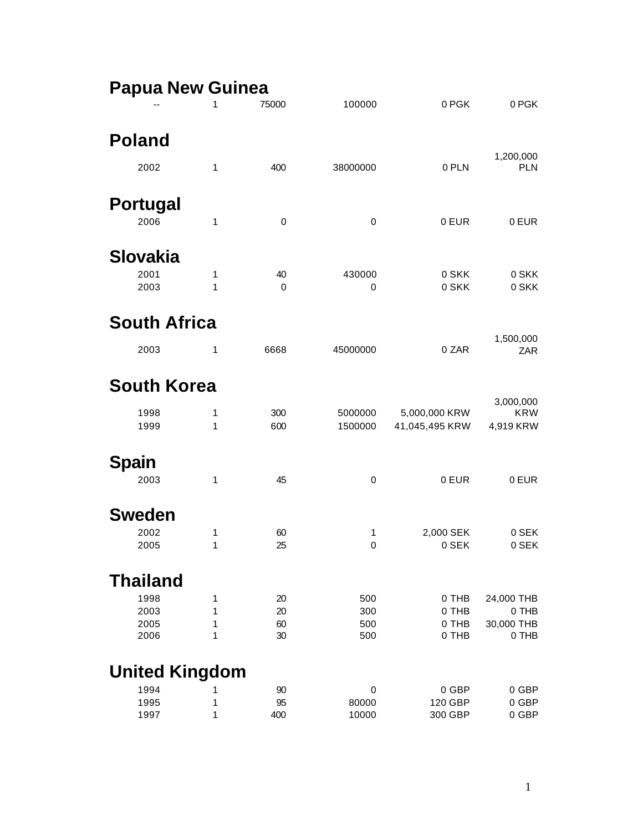| <b>Papua New Guinea</b> |              |          |             |                |                         |
|-------------------------|--------------|----------|-------------|----------------|-------------------------|
|                         | 1            | 75000    | 100000      | 0 PGK          | 0 PGK                   |
| <b>Poland</b>           |              |          |             |                |                         |
| 2002                    | $\mathbf{1}$ | 400      | 38000000    | 0 PLN          | 1,200,000<br><b>PLN</b> |
| <b>Portugal</b>         |              |          |             |                |                         |
| 2006                    | 1            | 0        | 0           | 0 EUR          | 0 EUR                   |
| Slovakia                |              |          |             |                |                         |
| 2001<br>2003            | 1<br>1       | 40<br>0  | 430000<br>0 | 0 SKK<br>0 SKK | 0 SKK<br>0 SKK          |
| <b>South Africa</b>     |              |          |             |                |                         |
| 2003                    | 1            | 6668     | 45000000    | 0 ZAR          | 1,500,000<br>ZAR        |
| <b>South Korea</b>      |              |          |             |                |                         |
| 1998                    | 1            | 300      | 5000000     | 5,000,000 KRW  | 3,000,000<br><b>KRW</b> |
| 1999                    | 1            | 600      | 1500000     | 41,045,495 KRW | 4,919 KRW               |
| Spain                   |              |          |             |                |                         |
| 2003                    | 1            | 45       | 0           | 0 EUR          | 0 EUR                   |
| <b>Sweden</b>           |              |          |             |                |                         |
| 2002                    | 1            | 60       | 1           | 2,000 SEK      | 0 SEK                   |
| 2005                    | 1            | 25       | 0           | 0 SEK          | 0 SEK                   |
| <b>Thailand</b>         |              |          |             |                |                         |
| 1998                    | 1            | 20       | 500         | 0 THB          | 24,000 THB              |
| 2003                    | 1            | 20       | 300         | 0 THB          | 0 THB                   |
| 2005<br>2006            | 1<br>1       | 60<br>30 | 500<br>500  | 0 THB<br>0 THB | 30,000 THB<br>0 THB     |
| <b>United Kingdom</b>   |              |          |             |                |                         |
| 1994                    | 1            | 90       | 0           | 0 GBP          | 0 GBP                   |
| 1995                    | 1            | 95       | 80000       | 120 GBP        | 0 GBP                   |
| 1997                    | 1            | 400      | 10000       | 300 GBP        | 0 GBP                   |